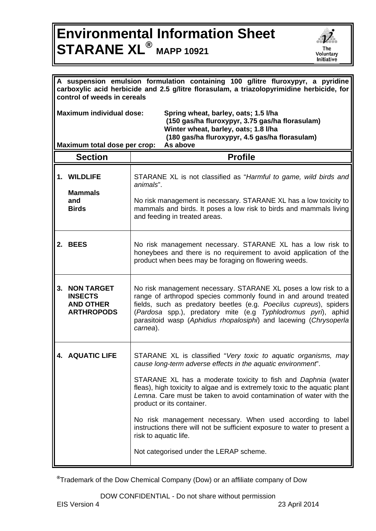## **Environmental Information Sheet STARANE XL® MAPP 10921**



| A suspension emulsion formulation containing 100 g/litre fluroxypyr, a pyridine<br>carboxylic acid herbicide and 2.5 g/litre florasulam, a triazolopyrimidine herbicide, for<br>control of weeds in cereals                                                      |                                                                              |                                                                                                                                                                                                                                                                                                                                                                                                                                                                                                                                                                                                |  |  |
|------------------------------------------------------------------------------------------------------------------------------------------------------------------------------------------------------------------------------------------------------------------|------------------------------------------------------------------------------|------------------------------------------------------------------------------------------------------------------------------------------------------------------------------------------------------------------------------------------------------------------------------------------------------------------------------------------------------------------------------------------------------------------------------------------------------------------------------------------------------------------------------------------------------------------------------------------------|--|--|
| <b>Maximum individual dose:</b><br>Spring wheat, barley, oats; 1.5 I/ha<br>(150 gas/ha fluroxypyr, 3.75 gas/ha florasulam)<br>Winter wheat, barley, oats; 1.8 I/ha<br>(180 gas/ha fluroxypyr, 4.5 gas/ha florasulam)<br>As above<br>Maximum total dose per crop: |                                                                              |                                                                                                                                                                                                                                                                                                                                                                                                                                                                                                                                                                                                |  |  |
|                                                                                                                                                                                                                                                                  | <b>Section</b>                                                               | <b>Profile</b>                                                                                                                                                                                                                                                                                                                                                                                                                                                                                                                                                                                 |  |  |
|                                                                                                                                                                                                                                                                  | 1. WILDLIFE<br><b>Mammals</b>                                                | STARANE XL is not classified as "Harmful to game, wild birds and<br>animals".                                                                                                                                                                                                                                                                                                                                                                                                                                                                                                                  |  |  |
|                                                                                                                                                                                                                                                                  | and<br><b>Birds</b>                                                          | No risk management is necessary. STARANE XL has a low toxicity to<br>mammals and birds. It poses a low risk to birds and mammals living<br>and feeding in treated areas.                                                                                                                                                                                                                                                                                                                                                                                                                       |  |  |
|                                                                                                                                                                                                                                                                  | 2. BEES                                                                      | No risk management necessary. STARANE XL has a low risk to<br>honeybees and there is no requirement to avoid application of the<br>product when bees may be foraging on flowering weeds.                                                                                                                                                                                                                                                                                                                                                                                                       |  |  |
| 3.                                                                                                                                                                                                                                                               | <b>NON TARGET</b><br><b>INSECTS</b><br><b>AND OTHER</b><br><b>ARTHROPODS</b> | No risk management necessary. STARANE XL poses a low risk to a<br>range of arthropod species commonly found in and around treated<br>fields, such as predatory beetles (e.g. Poecilus cupreus), spiders<br>(Pardosa spp.), predatory mite (e.g Typhlodromus pyri), aphid<br>parasitoid wasp (Aphidius rhopalosiphi) and lacewing (Chrysoperla<br>carnea).                                                                                                                                                                                                                                      |  |  |
|                                                                                                                                                                                                                                                                  | <b>AQUATIC LIFE</b>                                                          | STARANE XL is classified "Very toxic to aquatic organisms, may<br>cause long-term adverse effects in the aquatic environment".<br>STARANE XL has a moderate toxicity to fish and Daphnia (water<br>fleas), high toxicity to algae and is extremely toxic to the aquatic plant<br>Lemna. Care must be taken to avoid contamination of water with the<br>product or its container.<br>No risk management necessary. When used according to label<br>instructions there will not be sufficient exposure to water to present a<br>risk to aquatic life.<br>Not categorised under the LERAP scheme. |  |  |

**®**Trademark of the Dow Chemical Company (Dow) or an affiliate company of Dow

DOW CONFIDENTIAL - Do not share without permission<br>EIS Version 4